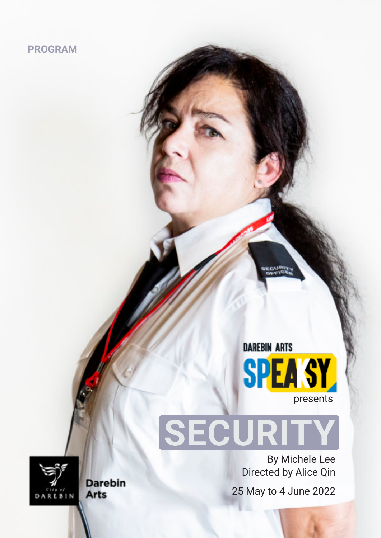### **PROGRAM**



# **SECURI**

By Michele Lee Directed by Alice Qin

25 May to 4 June 2022



**Darebin Arts**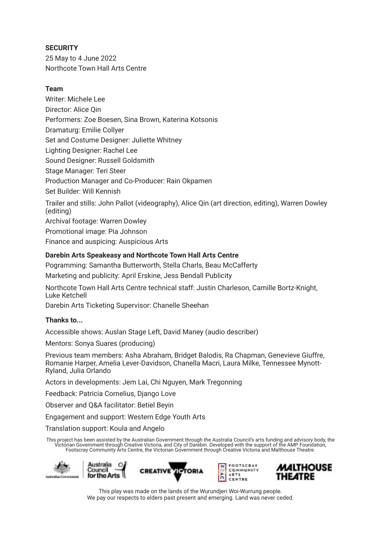#### **SECURITY**

25 May to 4 June 2022 Northcote Town Hall Arts Centre

#### **Team**

Writer: Michele Lee Director: Alice Qin Performers: Zoe Boesen, Sina Brown, Katerina Kotsonis Dramaturg: Emilie Collyer Set and Costume Designer: Juliette Whitney Lighting Designer: Rachel Lee Sound Designer: Russell Goldsmith Stage Manager: Teri Steer Production Manager and Co-Producer: Rain Okpamen Set Builder: Will Kennish Trailer and stills: John Pallot (videography), Alice Qin (art direction, editing), Warren Dowley (editing) Archival footage: Warren Dowley Promotional image: Pia Johnson

Finance and auspicing: Auspicious Arts

#### **Darebin Arts Speakeasy and Northcote Town Hall Arts Centre**

Pogramming: Samantha Butterworth, Stella Charls, Beau McCafferty Marketing and publicity: April Erskine, Jess Bendall Publicity

Northcote Town Hall Arts Centre technical staff: Justin Charleson, Camille Bortz-Knight, Luke Ketchell

Darebin Arts Ticketing Supervisor: Chanelle Sheehan

#### **Thanks to...**

Accessible shows: Auslan Stage Left, David Maney (audio describer)

Mentors: Sonya Suares (producing)

Previous team members: Asha Abraham, Bridget Balodis, Ra Chapman, Genevieve Giuffre, Romanie Harper, Amelia Lever-Davidson, Chanella Macri, Laura Milke, Tennessee Mynott-Ryland, Julia Orlando

Actors in developments: Jem Lai, Chi Nguyen, Mark Tregonning

Feedback: Patricia Cornelius, Django Love

Observer and Q&A facilitator: Betiel Beyin

Engagement and support: Western Edge Youth Arts

Translation support: Koula and Angelo

This project has been assisted by the Australian Government through the Australia Council's arts funding and advisory body, the Victorian Government through Creative Victoria, and City of Darebin. Developed with the support of the AMP Foundation, Footscray Community Arts Centre, the Victorian Government through Creative Victoria and Malthouse Theatre.









This play was made on the lands of the Wurundjeri Woi-Wurrung people. We pay our respects to elders past present and emerging. Land was never ceded.

**TOPIA**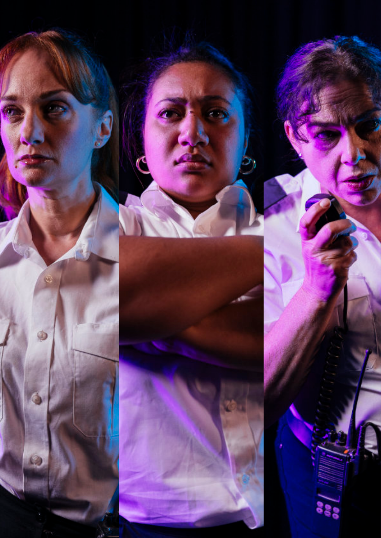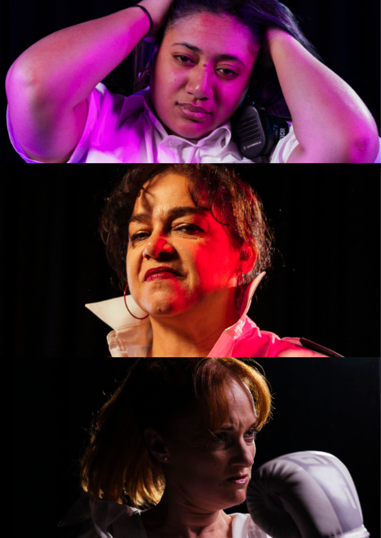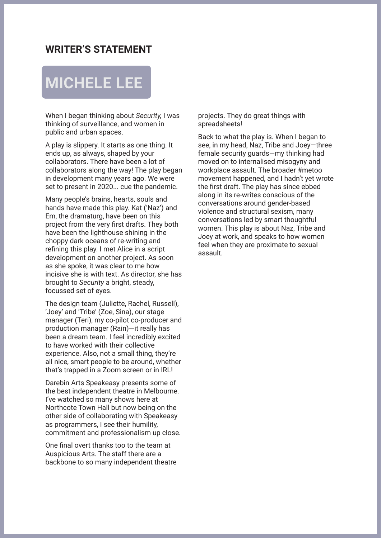### **WRITER'S STATEMENT**

# **MICHELE LEE**

When I began thinking about *Security,* I was thinking of surveillance, and women in public and urban spaces.

A play is slippery. It starts as one thing. It ends up, as always, shaped by your collaborators. There have been a lot of collaborators along the way! The play began in development many years ago. We were set to present in 2020... cue the pandemic.

Many people's brains, hearts, souls and hands have made this play. Kat ('Naz') and Em, the dramaturg, have been on this project from the very first drafts. They both have been the lighthouse shining in the choppy dark oceans of re-writing and refining this play. I met Alice in a script development on another project. As soon as she spoke, it was clear to me how incisive she is with text. As director, she has brought to *Security* a bright, steady, focussed set of eyes.

The design team (Juliette, Rachel, Russell), 'Joey' and 'Tribe' (Zoe, Sina), our stage manager (Teri), my co-pilot co-producer and production manager (Rain)—it really has been a dream team. I feel incredibly excited to have worked with their collective experience. Also, not a small thing, they're all nice, smart people to be around, whether that's trapped in a Zoom screen or in IRL!

Darebin Arts Speakeasy presents some of the best independent theatre in Melbourne. I've watched so many shows here at Northcote Town Hall but now being on the other side of collaborating with Speakeasy as programmers, I see their humility, commitment and professionalism up close.

One final overt thanks too to the team at Auspicious Arts. The staff there are a backbone to so many independent theatre projects. They do great things with spreadsheets!

Back to what the play is. When I began to see, in my head, Naz, Tribe and Joey—three female security guards—my thinking had moved on to internalised misogyny and workplace assault. The broader #metoo movement happened, and I hadn't yet wrote the first draft. The play has since ebbed along in its re-writes conscious of the conversations around gender-based violence and structural sexism, many conversations led by smart thoughtful women. This play is about Naz, Tribe and Joey at work, and speaks to how women feel when they are proximate to sexual assault.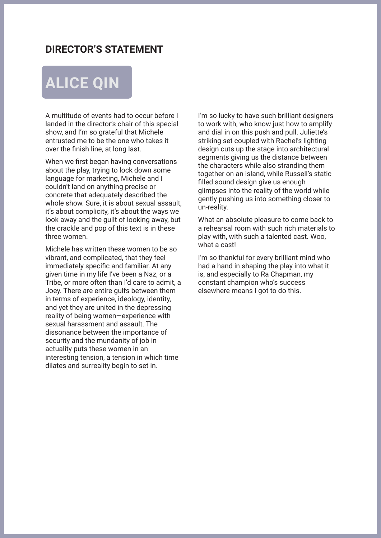### **DIRECTOR'S STATEMENT**

# **ALICE QIN**

A multitude of events had to occur before I landed in the director's chair of this special show, and I'm so grateful that Michele entrusted me to be the one who takes it over the finish line, at long last.

When we first began having conversations about the play, trying to lock down some language for marketing, Michele and I couldn't land on anything precise or concrete that adequately described the whole show. Sure, it is about sexual assault, it's about complicity, it's about the ways we look away and the guilt of looking away, but the crackle and pop of this text is in these three women.

Michele has written these women to be so vibrant, and complicated, that they feel immediately specific and familiar. At any given time in my life I've been a Naz, or a Tribe, or more often than I'd care to admit, a Joey. There are entire gulfs between them in terms of experience, ideology, identity, and yet they are united in the depressing reality of being women—experience with sexual harassment and assault. The dissonance between the importance of security and the mundanity of job in actuality puts these women in an interesting tension, a tension in which time dilates and surreality begin to set in.

I'm so lucky to have such brilliant designers to work with, who know just how to amplify and dial in on this push and pull. Juliette's striking set coupled with Rachel's lighting design cuts up the stage into architectural segments giving us the distance between the characters while also stranding them together on an island, while Russell's static filled sound design give us enough glimpses into the reality of the world while gently pushing us into something closer to un-reality.

What an absolute pleasure to come back to a rehearsal room with such rich materials to play with, with such a talented cast. Woo, what a castl

I'm so thankful for every brilliant mind who had a hand in shaping the play into what it is, and especially to Ra Chapman, my constant champion who's success elsewhere means I got to do this.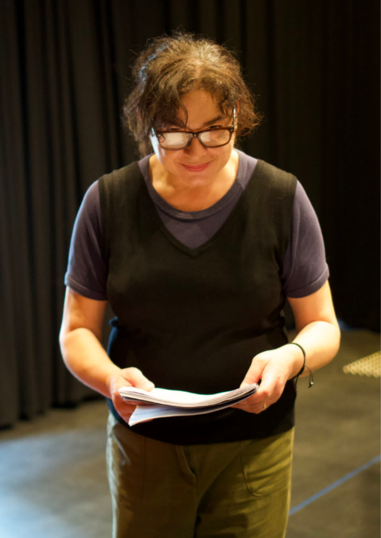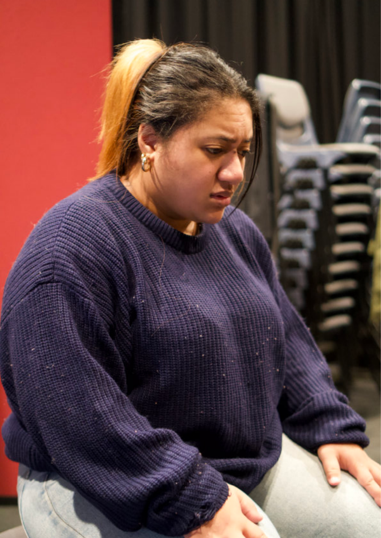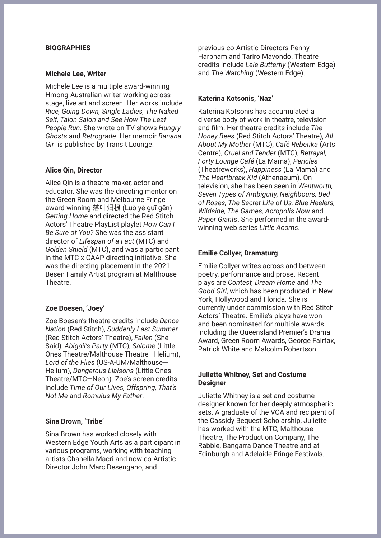#### **BIOGRAPHIES**

#### **Michele Lee, Writer**

Michele Lee is a multiple award-winning Hmong-Australian writer working across stage, live art and screen. Her works include *Rice, Going Down, Single Ladies, The Naked Self, Talon Salon and See How The Leaf People Run*. She wrote on TV shows *Hungry Ghosts* and *Retrograde*. Her memoir *Banana Gir*l is published by Transit Lounge.

#### **Alice Qin, Director**

Alice Qin is a theatre-maker, actor and educator. She was the directing mentor on the Green Room and Melbourne Fringe award-winning 落叶归根 (Luò yè guī gēn) *Getting Home* and directed the Red Stitch Actors' Theatre PlayList playlet *How Can I Be Sure of You?* She was the assistant director of *Lifespan of a Fact* (MTC) and *Golden Shield* (MTC), and was a participant in the MTC x CAAP directing initiative. She was the directing placement in the 2021 Besen Family Artist program at Malthouse Theatre.

#### **Zoe Boesen, 'Joey'**

Zoe Boesen's theatre credits include *Dance Nation* (Red Stitch), *Suddenly Last Summer* (Red Stitch Actors' Theatre), *Fallen* (She Said), *Abigail's Party* (MTC), *Salome* (Little Ones Theatre/Malthouse Theatre—Helium), *Lord of the Flies* (US-A-UM/Malthouse— Helium), *Dangerous Liaisons* (Little Ones Theatre/MTC—Neon). Zoe's screen credits include *Time of Our Lives, Offspring, That's Not Me* and *Romulus My Father*.

#### **Sina Brown, 'Tribe'**

Sina Brown has worked closely with Western Edge Youth Arts as a participant in various programs, working with teaching artists Chanella Macri and now co-Artistic Director John Marc Desengano, and

previous co-Artistic Directors Penny Harpham and Tariro Mavondo. Theatre credits include *Lele Butterfly* (Western Edge) and *The Watching* (Western Edge).

#### **Katerina Kotsonis, 'Naz'**

Katerina Kotsonis has accumulated a diverse body of work in theatre, television and film. Her theatre credits include *The Honey Bees* (Red Stitch Actors' Theatre), *All About My Mother* (MTC), *Café Rebetika* (Arts Centre), *Cruel and Tender* (MTC), *Betrayal, Forty Lounge Café* (La Mama), *Pericles* (Theatreworks), *Happiness* (La Mama) and *The Heartbreak Kid* (Athenaeum). On television, she has been seen in *Wentworth, Seven Types of Ambiguity, Neighbours, Bed of Roses, The Secret Life of Us, Blue Heelers, Wildside, The Games, Acropolis Now* and *Paper Giants*. She performed in the awardwinning web series *Little Acorns*.

#### **Emilie Collyer, Dramaturg**

Emilie Collyer writes across and between poetry, performance and prose. Recent plays are *Contest, Dream Home* and *The Good Girl*, which has been produced in New York, Hollywood and Florida. She is currently under commission with Red Stitch Actors' Theatre. Emilie's plays have won and been nominated for multiple awards including the Queensland Premier's Drama Award, Green Room Awards, George Fairfax, Patrick White and Malcolm Robertson.

#### **Juliette Whitney, Set and Costume Designer**

Juliette Whitney is a set and costume designer known for her deeply atmospheric sets. A graduate of the VCA and recipient of the Cassidy Bequest Scholarship, Juliette has worked with the MTC, Malthouse Theatre, The Production Company, The Rabble, Bangarra Dance Theatre and at Edinburgh and Adelaide Fringe Festivals.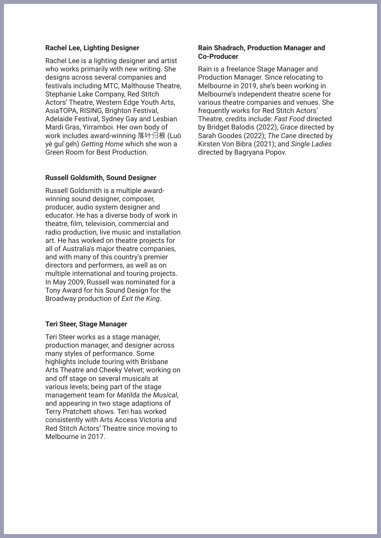#### **Rachel Lee, Lighting Designer**

Rachel Lee is a lighting designer and artist who works primarily with new writing. She designs across several companies and festivals including MTC, Malthouse Theatre, Stephanie Lake Company, Red Stitch Actors' Theatre, Western Edge Youth Arts, AsiaTOPA, RISING, Brighton Festival, Adelaide Festival, Sydney Gay and Lesbian Mardi Gras, Yirramboi. Her own body of work includes award-winning 落叶归根 (Luò yè guīgēn) *Getting Home* which she won a Green Room for Best Production.

#### **Russell Goldsmith, Sound Designer**

Russell Goldsmith is a multiple awardwinning sound designer, composer, producer, audio system designer and educator. He has a diverse body of work in theatre, film, television, commercial and radio production, live music and installation art. He has worked on theatre projects for all of Australia's major theatre companies, and with many of this country's premier directors and performers, as well as on multiple international and touring projects. In May 2009, Russell was nominated for a Tony Award for his Sound Design for the Broadway production of *Exit the King*.

#### **Teri Steer, Stage Manager**

Teri Steer works as a stage manager, production manager, and designer across many styles of performance. Some highlights include touring with Brisbane Arts Theatre and Cheeky Velvet; working on and off stage on several musicals at various levels; being part of the stage management team for *Matilda the Musical*, and appearing in two stage adaptions of Terry Pratchett shows. Teri has worked consistently with Arts Access Victoria and Red Stitch Actors' Theatre since moving to Melbourne in 2017.

#### **Rain Shadrach, Production Manager and Co-Producer**

Rain is a freelance Stage Manager and Production Manager. Since relocating to Melbourne in 2019, she's been working in Melbourne's independent theatre scene for various theatre companies and venues. She frequently works for Red Stitch Actors' Theatre, credits include: *Fast Food* directed by Bridget Balodis (2022), *Grace* directed by Sarah Goodes (2022); *The Cane* directed by Kirsten Von Bibra (2021); and *Single Ladies* directed by Bagryana Popov.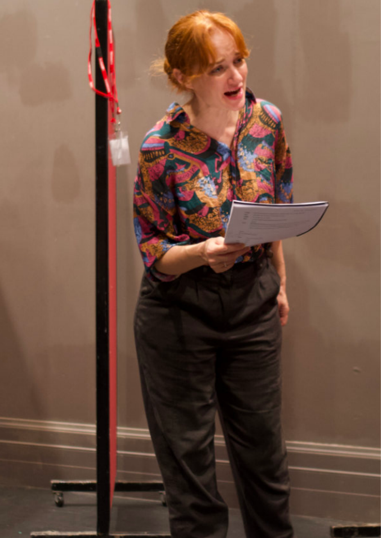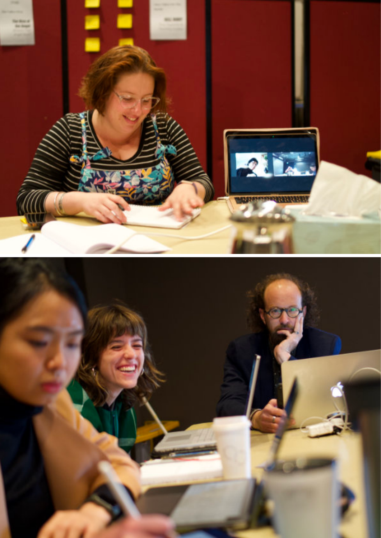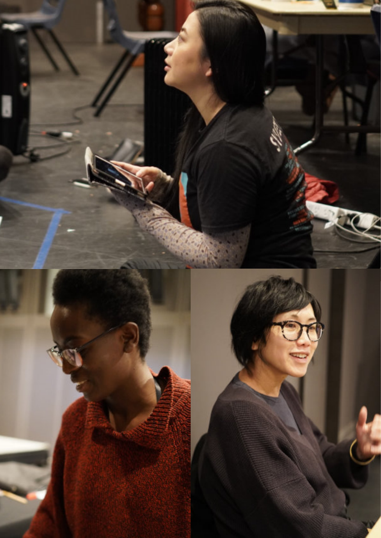